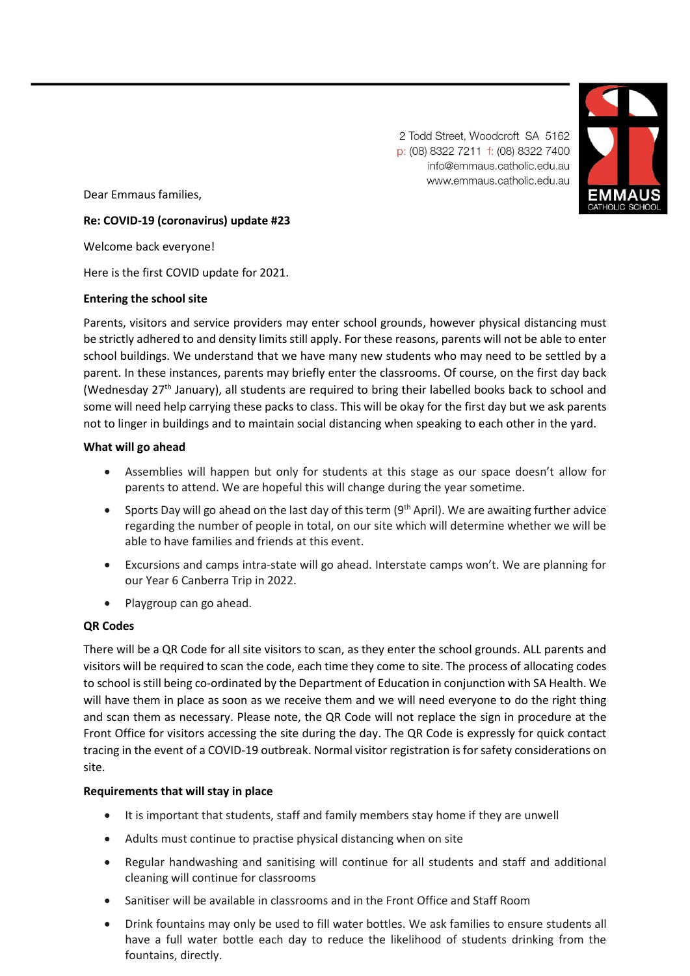2 Todd Street. Woodcroft SA 5162 p: (08) 8322 7211 f: (08) 8322 7400 info@emmaus.catholic.edu.au www.emmaus.catholic.edu.au



Dear Emmaus families,

# **Re: COVID-19 (coronavirus) update #23**

Welcome back everyone!

Here is the first COVID update for 2021.

### **Entering the school site**

Parents, visitors and service providers may enter school grounds, however physical distancing must be strictly adhered to and density limits still apply. For these reasons, parents will not be able to enter school buildings. We understand that we have many new students who may need to be settled by a parent. In these instances, parents may briefly enter the classrooms. Of course, on the first day back (Wednesday 27<sup>th</sup> January), all students are required to bring their labelled books back to school and some will need help carrying these packs to class. This will be okay for the first day but we ask parents not to linger in buildings and to maintain social distancing when speaking to each other in the yard.

### **What will go ahead**

- Assemblies will happen but only for students at this stage as our space doesn't allow for parents to attend. We are hopeful this will change during the year sometime.
- Sports Day will go ahead on the last day of this term  $(9<sup>th</sup>$  April). We are awaiting further advice regarding the number of people in total, on our site which will determine whether we will be able to have families and friends at this event.
- Excursions and camps intra-state will go ahead. Interstate camps won't. We are planning for our Year 6 Canberra Trip in 2022.
- Playgroup can go ahead.

# **QR Codes**

There will be a QR Code for all site visitors to scan, as they enter the school grounds. ALL parents and visitors will be required to scan the code, each time they come to site. The process of allocating codes to school is still being co-ordinated by the Department of Education in conjunction with SA Health. We will have them in place as soon as we receive them and we will need everyone to do the right thing and scan them as necessary. Please note, the QR Code will not replace the sign in procedure at the Front Office for visitors accessing the site during the day. The QR Code is expressly for quick contact tracing in the event of a COVID-19 outbreak. Normal visitor registration is for safety considerations on site.

# **Requirements that will stay in place**

- It is important that students, staff and family members stay home if they are unwell
- Adults must continue to practise physical distancing when on site
- Regular handwashing and sanitising will continue for all students and staff and additional cleaning will continue for classrooms
- Sanitiser will be available in classrooms and in the Front Office and Staff Room
- Drink fountains may only be used to fill water bottles. We ask families to ensure students all have a full water bottle each day to reduce the likelihood of students drinking from the fountains, directly.